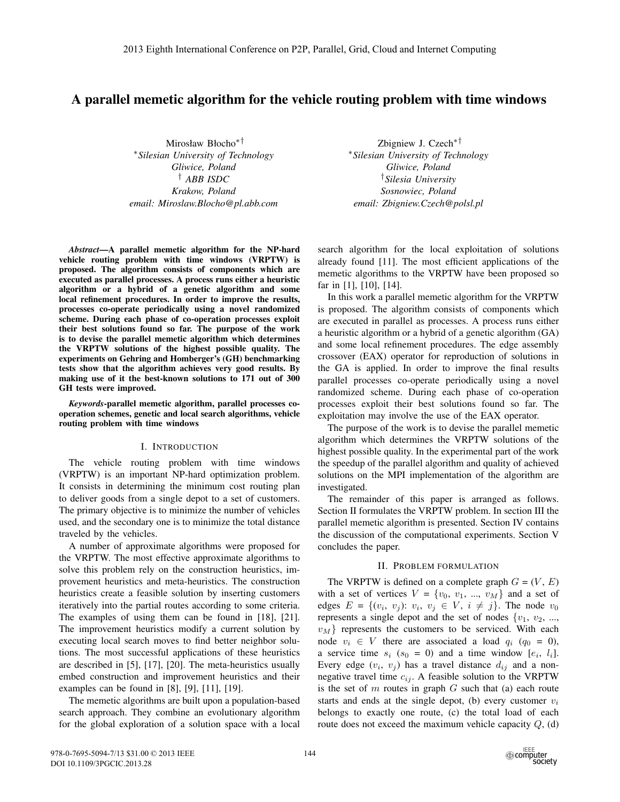# A parallel memetic algorithm for the vehicle routing problem with time windows

Mirosław Błocho∗† ∗*Silesian University of Technology Gliwice, Poland* † *ABB ISDC Krakow, Poland email: Miroslaw.Blocho@pl.abb.com*

*Abstract*—A parallel memetic algorithm for the NP-hard vehicle routing problem with time windows (VRPTW) is proposed. The algorithm consists of components which are executed as parallel processes. A process runs either a heuristic algorithm or a hybrid of a genetic algorithm and some local refinement procedures. In order to improve the results, processes co-operate periodically using a novel randomized scheme. During each phase of co-operation processes exploit their best solutions found so far. The purpose of the work is to devise the parallel memetic algorithm which determines the VRPTW solutions of the highest possible quality. The experiments on Gehring and Homberger's (GH) benchmarking tests show that the algorithm achieves very good results. By making use of it the best-known solutions to 171 out of 300 GH tests were improved.

*Keywords*-parallel memetic algorithm, parallel processes cooperation schemes, genetic and local search algorithms, vehicle routing problem with time windows

## I. INTRODUCTION

The vehicle routing problem with time windows (VRPTW) is an important NP-hard optimization problem. It consists in determining the minimum cost routing plan to deliver goods from a single depot to a set of customers. The primary objective is to minimize the number of vehicles used, and the secondary one is to minimize the total distance traveled by the vehicles.

A number of approximate algorithms were proposed for the VRPTW. The most effective approximate algorithms to solve this problem rely on the construction heuristics, improvement heuristics and meta-heuristics. The construction heuristics create a feasible solution by inserting customers iteratively into the partial routes according to some criteria. The examples of using them can be found in [18], [21]. The improvement heuristics modify a current solution by executing local search moves to find better neighbor solutions. The most successful applications of these heuristics are described in [5], [17], [20]. The meta-heuristics usually embed construction and improvement heuristics and their examples can be found in [8], [9], [11], [19].

The memetic algorithms are built upon a population-based search approach. They combine an evolutionary algorithm for the global exploration of a solution space with a local

Zbigniew J. Czech∗† ∗*Silesian University of Technology Gliwice, Poland* †*Silesia University Sosnowiec, Poland email: Zbigniew.Czech@polsl.pl*

search algorithm for the local exploitation of solutions already found [11]. The most efficient applications of the memetic algorithms to the VRPTW have been proposed so far in [1], [10], [14].

In this work a parallel memetic algorithm for the VRPTW is proposed. The algorithm consists of components which are executed in parallel as processes. A process runs either a heuristic algorithm or a hybrid of a genetic algorithm (GA) and some local refinement procedures. The edge assembly crossover (EAX) operator for reproduction of solutions in the GA is applied. In order to improve the final results parallel processes co-operate periodically using a novel randomized scheme. During each phase of co-operation processes exploit their best solutions found so far. The exploitation may involve the use of the EAX operator.

The purpose of the work is to devise the parallel memetic algorithm which determines the VRPTW solutions of the highest possible quality. In the experimental part of the work the speedup of the parallel algorithm and quality of achieved solutions on the MPI implementation of the algorithm are investigated.

The remainder of this paper is arranged as follows. Section II formulates the VRPTW problem. In section III the parallel memetic algorithm is presented. Section IV contains the discussion of the computational experiments. Section V concludes the paper.

## II. PROBLEM FORMULATION

The VRPTW is defined on a complete graph  $G = (V, E)$ with a set of vertices  $V = \{v_0, v_1, ..., v_M\}$  and a set of edges  $E = \{(v_i, v_j): v_i, v_j \in V, i \neq j\}$ . The node  $v_0$ represents a single depot and the set of nodes  $\{v_1, v_2, \ldots, v_n\}$  $v_M$ } represents the customers to be serviced. With each node  $v_i \in V$  there are associated a load  $q_i$  ( $q_0 = 0$ ), a service time  $s_i$  ( $s_0 = 0$ ) and a time window [ $e_i$ ,  $l_i$ ]. Every edge  $(v_i, v_j)$  has a travel distance  $d_{ij}$  and a nonnegative travel time  $c_{ij}$ . A feasible solution to the VRPTW is the set of *m* routes in graph *G* such that (a) each route starts and ends at the single depot, (b) every customer  $v_i$ belongs to exactly one route, (c) the total load of each route does not exceed the maximum vehicle capacity *Q*, (d)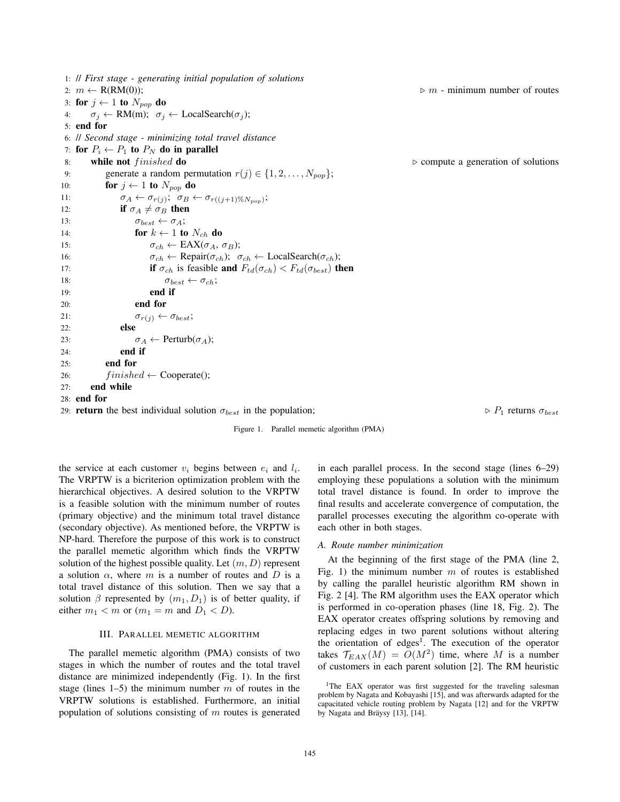1: // *First stage - generating initial population of solutions* 2:  $m \leftarrow R(RM(0));$  $\triangleright$  *m* - minimum number of routes 3: for  $j \leftarrow 1$  to  $N_{pop}$  do 4:  $\sigma_j \leftarrow \text{RM}(m); \quad \sigma_j \leftarrow \text{LocalSearch}(\sigma_j);$ 5: end for 6: // *Second stage - minimizing total travel distance* 7: for  $P_i \leftarrow P_1$  to  $P_N$  do in parallel 8: while not *f inished* do *-* $\rhd$  compute a generation of solutions 9: generate a random permutation  $r(j) \in \{1, 2, ..., N_{non}\}$ ; 10: **for**  $j \leftarrow 1$  to  $N_{pop}$  do 11:  $\sigma_A \leftarrow \sigma_{r(j)}$ ;  $\sigma_B \leftarrow \sigma_{r((j+1)\%N_{pop})}$ ; 12: **if**  $\sigma_A \neq \sigma_B$  then 13:  $\sigma_{best} \leftarrow \sigma_A;$ 14: **for**  $k \leftarrow 1$  to  $N_{ch}$  do 15:  $\sigma_{ch} \leftarrow \text{EAX}(\sigma_A, \sigma_B);$ 16:  $\sigma_{ch} \leftarrow \text{Repair}(\sigma_{ch}); \quad \sigma_{ch} \leftarrow \text{LocalSearch}(\sigma_{ch});$ 17: **if**  $\sigma_{ch}$  is feasible and  $F_{td}(\sigma_{ch}) < F_{td}(\sigma_{best})$  then 18:  $\sigma_{best} \leftarrow \sigma_{ch};$ 19: end if 20: end for 21:  $\sigma_{r(j)} \leftarrow \sigma_{best};$ 22: else 23:  $\sigma_A \leftarrow \text{Perturb}(\sigma_A);$ 24: end if 25: end for 26:  $f inished \leftarrow Cooperate();$ 27: end while 28: end for 29: **return** the best individual solution  $\sigma_{best}$  in the population;  $\triangleright$  *P*<sub>1</sub> returns  $\sigma_{best}$ 



the service at each customer  $v_i$  begins between  $e_i$  and  $l_i$ . The VRPTW is a bicriterion optimization problem with the hierarchical objectives. A desired solution to the VRPTW is a feasible solution with the minimum number of routes (primary objective) and the minimum total travel distance (secondary objective). As mentioned before, the VRPTW is NP-hard. Therefore the purpose of this work is to construct the parallel memetic algorithm which finds the VRPTW solution of the highest possible quality. Let (*m, D*) represent a solution  $\alpha$ , where  $m$  is a number of routes and  $D$  is a total travel distance of this solution. Then we say that a solution  $\beta$  represented by  $(m_1, D_1)$  is of better quality, if either  $m_1 < m$  or  $(m_1 = m$  and  $D_1 < D$ .

## III. PARALLEL MEMETIC ALGORITHM

The parallel memetic algorithm (PMA) consists of two stages in which the number of routes and the total travel distance are minimized independently (Fig. 1). In the first stage (lines 1–5) the minimum number *m* of routes in the VRPTW solutions is established. Furthermore, an initial population of solutions consisting of *m* routes is generated in each parallel process. In the second stage (lines 6–29) employing these populations a solution with the minimum total travel distance is found. In order to improve the final results and accelerate convergence of computation, the parallel processes executing the algorithm co-operate with each other in both stages.

#### *A. Route number minimization*

At the beginning of the first stage of the PMA (line 2, Fig. 1) the minimum number *m* of routes is established by calling the parallel heuristic algorithm RM shown in Fig. 2 [4]. The RM algorithm uses the EAX operator which is performed in co-operation phases (line 18, Fig. 2). The EAX operator creates offspring solutions by removing and replacing edges in two parent solutions without altering the orientation of edges<sup>1</sup>. The execution of the operator takes  $\mathcal{T}_{EAX}(M) = O(M^2)$  time, where M is a number of customers in each parent solution [2]. The RM heuristic

<sup>1</sup>The EAX operator was first suggested for the traveling salesman problem by Nagata and Kobayashi [15], and was afterwards adapted for the capacitated vehicle routing problem by Nagata [12] and for the VRPTW by Nagata and Bräysy [13], [14].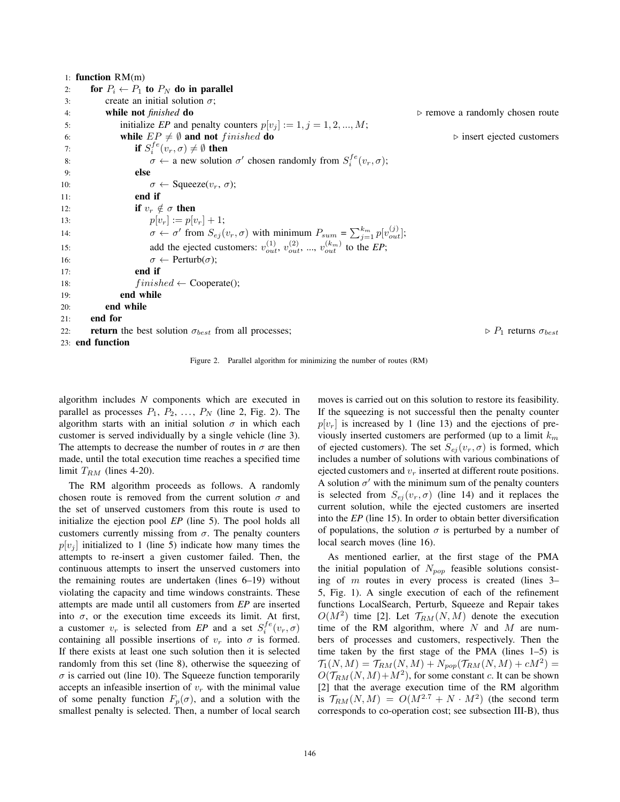1: function RM(m) 2: for  $P_i \leftarrow P_1$  to  $P_N$  do in parallel 3: create an initial solution  $\sigma$ ; 4: while not *finished* do *-* $\rhd$  remove a randomly chosen route 5: initialize *EP* and penalty counters  $p[v_i] := 1, j = 1, 2, ..., M$ ; 6: **while**  $EP \neq \emptyset$  and not *finished* do  $\triangleright$  insert ejected customers 7: **if**  $S_i^{fe}(v_r, \sigma) \neq \emptyset$  then 8:  $σ ← a new solution σ' chosen randomly from S<sub>i</sub><sup>fe</sup>(v<sub>r</sub>, σ);$ 9: else 10:  $\sigma \leftarrow \text{Squeeze}(v_r, \sigma);$ 11: end if 12: **if**  $v_r \notin \sigma$  **then** 13:  $p[v_r] := p[v_r] + 1;$ 14:  $\sigma \leftarrow \sigma'$  from  $S_{ej}(v_r, \sigma)$  with minimum  $P_{sum} = \sum_{j=1}^{k_m} p[v_{out}^{(j)}];$ 15: add the ejected customers:  $v_{out}^{(1)}$ ,  $v_{out}^{(2)}$ , ...,  $v_{out}^{(k_m)}$  to the *EP*; 16:  $\sigma \leftarrow \text{Perturb}(\sigma);$ 17: end if 18:  $f inished \leftarrow Cooperate();$ 19: end while 20: end while 21: end for 22: **return** the best solution  $σ_{best}$  from all processes;  $\triangleright$  *P*<sub>1</sub> returns  $\sigma_{best}$ 23: end function

Figure 2. Parallel algorithm for minimizing the number of routes (RM)

algorithm includes *N* components which are executed in parallel as processes  $P_1$ ,  $P_2$ , ...,  $P_N$  (line 2, Fig. 2). The algorithm starts with an initial solution  $\sigma$  in which each customer is served individually by a single vehicle (line 3). The attempts to decrease the number of routes in  $\sigma$  are then made, until the total execution time reaches a specified time limit  $T_{RM}$  (lines 4-20).

The RM algorithm proceeds as follows. A randomly chosen route is removed from the current solution  $\sigma$  and the set of unserved customers from this route is used to initialize the ejection pool *EP* (line 5). The pool holds all customers currently missing from  $\sigma$ . The penalty counters  $p[v_i]$  initialized to 1 (line 5) indicate how many times the attempts to re-insert a given customer failed. Then, the continuous attempts to insert the unserved customers into the remaining routes are undertaken (lines 6–19) without violating the capacity and time windows constraints. These attempts are made until all customers from *EP* are inserted into  $\sigma$ , or the execution time exceeds its limit. At first, a customer  $v_r$  is selected from *EP* and a set  $S_i^{fe}(v_r, \sigma)$ containing all possible insertions of  $v_r$  into  $\sigma$  is formed. If there exists at least one such solution then it is selected randomly from this set (line 8), otherwise the squeezing of  $\sigma$  is carried out (line 10). The Squeeze function temporarily accepts an infeasible insertion of  $v_r$  with the minimal value of some penalty function  $F_p(\sigma)$ , and a solution with the smallest penalty is selected. Then, a number of local search moves is carried out on this solution to restore its feasibility. If the squeezing is not successful then the penalty counter  $p[v_r]$  is increased by 1 (line 13) and the ejections of previously inserted customers are performed (up to a limit *k*<sup>m</sup> of ejected customers). The set  $S_{ej}(v_r, \sigma)$  is formed, which includes a number of solutions with various combinations of ejected customers and  $v_r$  inserted at different route positions. A solution  $\sigma'$  with the minimum sum of the penalty counters is selected from  $S_{ej}(v_r, \sigma)$  (line 14) and it replaces the current solution, while the ejected customers are inserted into the *EP* (line 15). In order to obtain better diversification of populations, the solution  $\sigma$  is perturbed by a number of local search moves (line 16).

As mentioned earlier, at the first stage of the PMA the initial population of  $N_{pop}$  feasible solutions consisting of *m* routes in every process is created (lines 3– 5, Fig. 1). A single execution of each of the refinement functions LocalSearch, Perturb, Squeeze and Repair takes  $O(M^2)$  time [2]. Let  $\mathcal{T}_{RM}(N,M)$  denote the execution time of the RM algorithm, where *N* and *M* are numbers of processes and customers, respectively. Then the time taken by the first stage of the PMA (lines 1–5) is  $\mathcal{T}_1(N,M) = \mathcal{T}_{RM}(N,M) + N_{pop}(\mathcal{T}_{RM}(N,M) + cM^2) =$  $O(\mathcal{T}_{RM}(N,M)+M^2)$ , for some constant *c*. It can be shown [2] that the average execution time of the RM algorithm is  $\mathcal{T}_{RM}(N,M) = O(M^{2.7} + N \cdot M^2)$  (the second term corresponds to co-operation cost; see subsection III-B), thus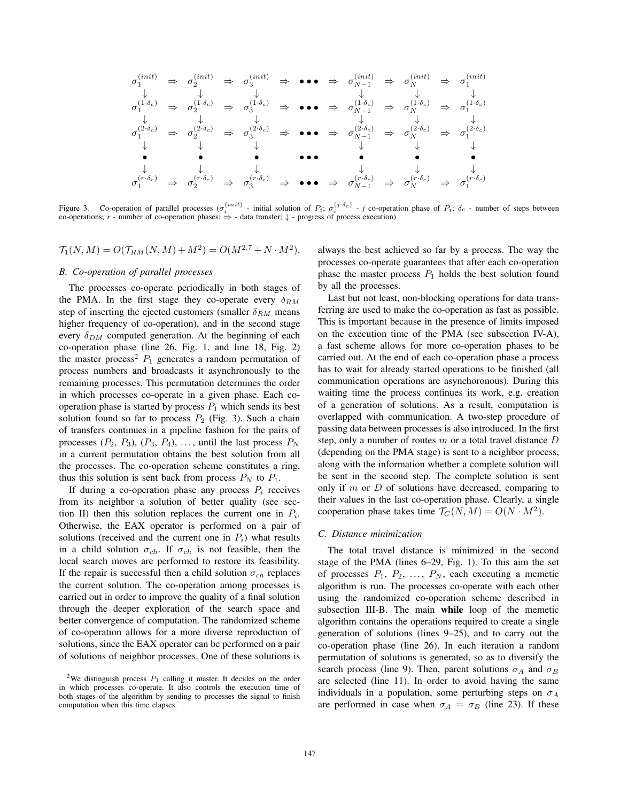*σ*(init) <sup>1</sup> <sup>⇒</sup> *<sup>σ</sup>*(init) <sup>2</sup> <sup>⇒</sup> *<sup>σ</sup>*(init) <sup>3</sup> ⇒ ••• ⇒ *<sup>σ</sup>*(init) <sup>N</sup>−<sup>1</sup> <sup>⇒</sup> *<sup>σ</sup>*(init) <sup>N</sup> <sup>⇒</sup> *<sup>σ</sup>*(init) 1 ↓↓↓ ↓↓↓ *σ*(1·δc) <sup>1</sup> <sup>⇒</sup> *<sup>σ</sup>*(1·δc) <sup>2</sup> <sup>⇒</sup> *<sup>σ</sup>*(1·δc) <sup>3</sup> ⇒ ••• ⇒ *<sup>σ</sup>*(1·δc) <sup>N</sup>−<sup>1</sup> <sup>⇒</sup> *<sup>σ</sup>*(1·δc) <sup>N</sup> <sup>⇒</sup> *<sup>σ</sup>*(1·δc) 1 ↓↓↓ ↓↓↓ *σ*(2·δc) <sup>1</sup> <sup>⇒</sup> *<sup>σ</sup>*(2·δc) <sup>2</sup> <sup>⇒</sup> *<sup>σ</sup>*(2·δc) <sup>3</sup> ⇒ ••• ⇒ *<sup>σ</sup>*(2·δc) <sup>N</sup>−<sup>1</sup> <sup>⇒</sup> *<sup>σ</sup>*(2·δc) <sup>N</sup> <sup>⇒</sup> *<sup>σ</sup>*(2·δc) 1 ↓↓↓ ↓↓↓ • • • ••• • • • ↓↓↓ ↓↓↓ *σ*(r·δc) <sup>1</sup> <sup>⇒</sup> *<sup>σ</sup>*(r·δc) <sup>2</sup> <sup>⇒</sup> *<sup>σ</sup>*(r·δc) <sup>3</sup> ⇒ ••• ⇒ *<sup>σ</sup>*(r·δc) <sup>N</sup>−<sup>1</sup> <sup>⇒</sup> *<sup>σ</sup>*(r·δc) <sup>N</sup> <sup>⇒</sup> *<sup>σ</sup>*(r·δc) 1

Figure 3. Co-operation of parallel processes  $(\sigma_i^{(init)}$  - initial solution of  $P_i$ ;  $\sigma_i^{(j \cdot \delta_c)}$  - *j* co-operation phase of  $P_i$ ;  $\delta_c$  - number of steps between co-operations; *r* - number of co-operation phases;  $\Rightarrow$  - data transfer;  $\downarrow$  - progress of process execution)

$$
\mathcal{T}_1(N,M) = O(\mathcal{T}_{RM}(N,M) + M^2) = O(M^{2.7} + N \cdot M^2).
$$

#### *B. Co-operation of parallel processes*

The processes co-operate periodically in both stages of the PMA. In the first stage they co-operate every  $\delta_{RM}$ step of inserting the ejected customers (smaller  $\delta_{RM}$  means higher frequency of co-operation), and in the second stage every  $\delta_{DM}$  computed generation. At the beginning of each co-operation phase (line 26, Fig. 1, and line 18, Fig. 2) the master process<sup>2</sup>  $P_1$  generates a random permutation of process numbers and broadcasts it asynchronously to the remaining processes. This permutation determines the order in which processes co-operate in a given phase. Each cooperation phase is started by process  $P_1$  which sends its best solution found so far to process  $P_2$  (Fig. 3). Such a chain of transfers continues in a pipeline fashion for the pairs of processes  $(P_2, P_3)$ ,  $(P_3, P_4)$ , ..., until the last process  $P_N$ in a current permutation obtains the best solution from all the processes. The co-operation scheme constitutes a ring, thus this solution is sent back from process  $P_N$  to  $P_1$ .

If during a co-operation phase any process  $P_i$  receives from its neighbor a solution of better quality (see section II) then this solution replaces the current one in  $P_i$ . Otherwise, the EAX operator is performed on a pair of solutions (received and the current one in  $P_i$ ) what results in a child solution  $\sigma_{ch}$ . If  $\sigma_{ch}$  is not feasible, then the local search moves are performed to restore its feasibility. If the repair is successful then a child solution  $\sigma_{ch}$  replaces the current solution. The co-operation among processes is carried out in order to improve the quality of a final solution through the deeper exploration of the search space and better convergence of computation. The randomized scheme of co-operation allows for a more diverse reproduction of solutions, since the EAX operator can be performed on a pair of solutions of neighbor processes. One of these solutions is always the best achieved so far by a process. The way the processes co-operate guarantees that after each co-operation phase the master process  $P_1$  holds the best solution found by all the processes.

Last but not least, non-blocking operations for data transferring are used to make the co-operation as fast as possible. This is important because in the presence of limits imposed on the execution time of the PMA (see subsection IV-A), a fast scheme allows for more co-operation phases to be carried out. At the end of each co-operation phase a process has to wait for already started operations to be finished (all communication operations are asynchoronous). During this waiting time the process continues its work, e.g. creation of a generation of solutions. As a result, computation is overlapped with communication. A two-step procedure of passing data between processes is also introduced. In the first step, only a number of routes *m* or a total travel distance *D* (depending on the PMA stage) is sent to a neighbor process, along with the information whether a complete solution will be sent in the second step. The complete solution is sent only if *m* or *D* of solutions have decreased, comparing to their values in the last co-operation phase. Clearly, a single cooperation phase takes time  $\mathcal{T}_C(N,M) = O(N \cdot M^2)$ .

## *C. Distance minimization*

The total travel distance is minimized in the second stage of the PMA (lines 6–29, Fig. 1). To this aim the set of processes  $P_1$ ,  $P_2$ , ...,  $P_N$ , each executing a memetic algorithm is run. The processes co-operate with each other using the randomized co-operation scheme described in subsection III-B. The main while loop of the memetic algorithm contains the operations required to create a single generation of solutions (lines 9–25), and to carry out the co-operation phase (line 26). In each iteration a random permutation of solutions is generated, so as to diversify the search process (line 9). Then, parent solutions  $\sigma_A$  and  $\sigma_B$ are selected (line 11). In order to avoid having the same individuals in a population, some perturbing steps on  $\sigma_A$ are performed in case when  $\sigma_A = \sigma_B$  (line 23). If these

<sup>&</sup>lt;sup>2</sup>We distinguish process  $P_1$  calling it master. It decides on the order in which processes co-operate. It also controls the execution time of both stages of the algorithm by sending to processes the signal to finish computation when this time elapses.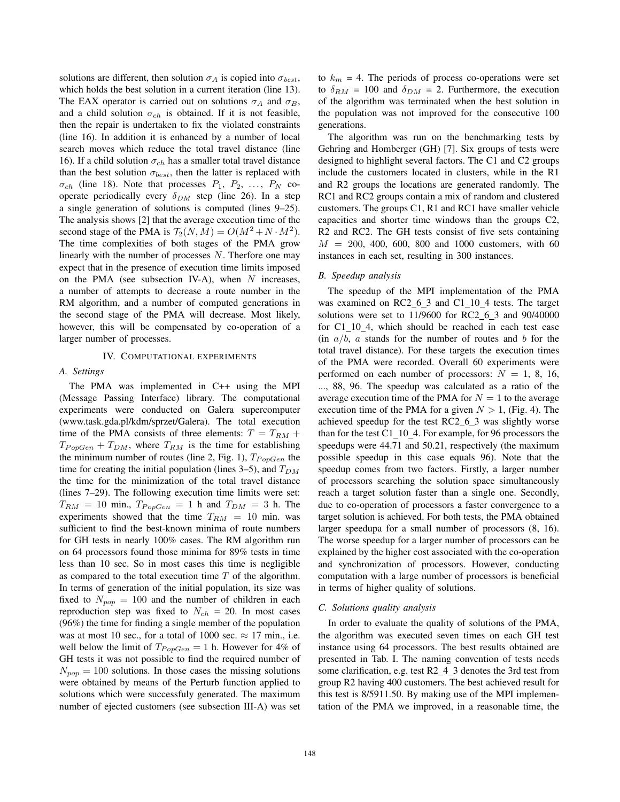solutions are different, then solution  $\sigma_A$  is copied into  $\sigma_{best}$ , which holds the best solution in a current iteration (line 13). The EAX operator is carried out on solutions  $\sigma_A$  and  $\sigma_B$ , and a child solution  $\sigma_{ch}$  is obtained. If it is not feasible, then the repair is undertaken to fix the violated constraints (line 16). In addition it is enhanced by a number of local search moves which reduce the total travel distance (line 16). If a child solution  $\sigma_{ch}$  has a smaller total travel distance than the best solution  $\sigma_{best}$ , then the latter is replaced with  $\sigma_{ch}$  (line 18). Note that processes  $P_1$ ,  $P_2$ , ...,  $P_N$  cooperate periodically every  $\delta_{DM}$  step (line 26). In a step a single generation of solutions is computed (lines 9–25). The analysis shows [2] that the average execution time of the second stage of the PMA is  $\mathcal{T}_2(N,M) = O(M^2 + N \cdot M^2)$ . The time complexities of both stages of the PMA grow linearly with the number of processes *N*. Therfore one may expect that in the presence of execution time limits imposed on the PMA (see subsection IV-A), when *N* increases, a number of attempts to decrease a route number in the RM algorithm, and a number of computed generations in the second stage of the PMA will decrease. Most likely, however, this will be compensated by co-operation of a larger number of processes.

### IV. COMPUTATIONAL EXPERIMENTS

#### *A. Settings*

The PMA was implemented in C++ using the MPI (Message Passing Interface) library. The computational experiments were conducted on Galera supercomputer (www.task.gda.pl/kdm/sprzet/Galera). The total execution time of the PMA consists of three elements:  $T = T_{RM} +$  $T_{PopGen} + T_{DM}$ , where  $T_{RM}$  is the time for establishing the minimum number of routes (line 2, Fig. 1),  $T_{PopGen}$  the time for creating the initial population (lines  $3-5$ ), and  $T_{DM}$ the time for the minimization of the total travel distance (lines 7–29). The following execution time limits were set:  $T_{RM}$  = 10 min.,  $T_{PopGen}$  = 1 h and  $T_{DM}$  = 3 h. The experiments showed that the time  $T_{RM} = 10$  min. was sufficient to find the best-known minima of route numbers for GH tests in nearly 100% cases. The RM algorithm run on 64 processors found those minima for 89% tests in time less than 10 sec. So in most cases this time is negligible as compared to the total execution time *T* of the algorithm. In terms of generation of the initial population, its size was fixed to  $N_{pop} = 100$  and the number of children in each reproduction step was fixed to  $N_{ch} = 20$ . In most cases (96%) the time for finding a single member of the population was at most 10 sec., for a total of 1000 sec.  $\approx$  17 min., i.e. well below the limit of  $T_{PopGen} = 1$  h. However for 4% of GH tests it was not possible to find the required number of  $N_{pop} = 100$  solutions. In those cases the missing solutions were obtained by means of the Perturb function applied to solutions which were successfuly generated. The maximum number of ejected customers (see subsection III-A) was set to  $k_m = 4$ . The periods of process co-operations were set to  $\delta_{RM}$  = 100 and  $\delta_{DM}$  = 2. Furthermore, the execution of the algorithm was terminated when the best solution in the population was not improved for the consecutive 100 generations.

The algorithm was run on the benchmarking tests by Gehring and Homberger (GH) [7]. Six groups of tests were designed to highlight several factors. The C1 and C2 groups include the customers located in clusters, while in the R1 and R2 groups the locations are generated randomly. The RC1 and RC2 groups contain a mix of random and clustered customers. The groups C1, R1 and RC1 have smaller vehicle capacities and shorter time windows than the groups C2, R2 and RC2. The GH tests consist of five sets containing *M* = 200, 400, 600, 800 and 1000 customers, with 60 instances in each set, resulting in 300 instances.

#### *B. Speedup analysis*

The speedup of the MPI implementation of the PMA was examined on  $RC2_6_3$  and  $C1_10_4$  tests. The target solutions were set to 11/9600 for RC2 6 3 and 90/40000 for  $C1_10_4$ , which should be reached in each test case (in *a/b*, *a* stands for the number of routes and *b* for the total travel distance). For these targets the execution times of the PMA were recorded. Overall 60 experiments were performed on each number of processors:  $N = 1, 8, 16,$ ..., 88, 96. The speedup was calculated as a ratio of the average execution time of the PMA for  $N = 1$  to the average execution time of the PMA for a given  $N > 1$ , (Fig. 4). The achieved speedup for the test  $RC2_6_3$  was slightly worse than for the test  $C1_10_4$ . For example, for 96 processors the speedups were 44.71 and 50.21, respectively (the maximum possible speedup in this case equals 96). Note that the speedup comes from two factors. Firstly, a larger number of processors searching the solution space simultaneously reach a target solution faster than a single one. Secondly, due to co-operation of processors a faster convergence to a target solution is achieved. For both tests, the PMA obtained larger speedupa for a small number of processors (8, 16). The worse speedup for a larger number of processors can be explained by the higher cost associated with the co-operation and synchronization of processors. However, conducting computation with a large number of processors is beneficial in terms of higher quality of solutions.

## *C. Solutions quality analysis*

In order to evaluate the quality of solutions of the PMA, the algorithm was executed seven times on each GH test instance using 64 processors. The best results obtained are presented in Tab. I. The naming convention of tests needs some clarification, e.g. test R2 4 3 denotes the 3rd test from group R2 having 400 customers. The best achieved result for this test is 8/5911.50. By making use of the MPI implementation of the PMA we improved, in a reasonable time, the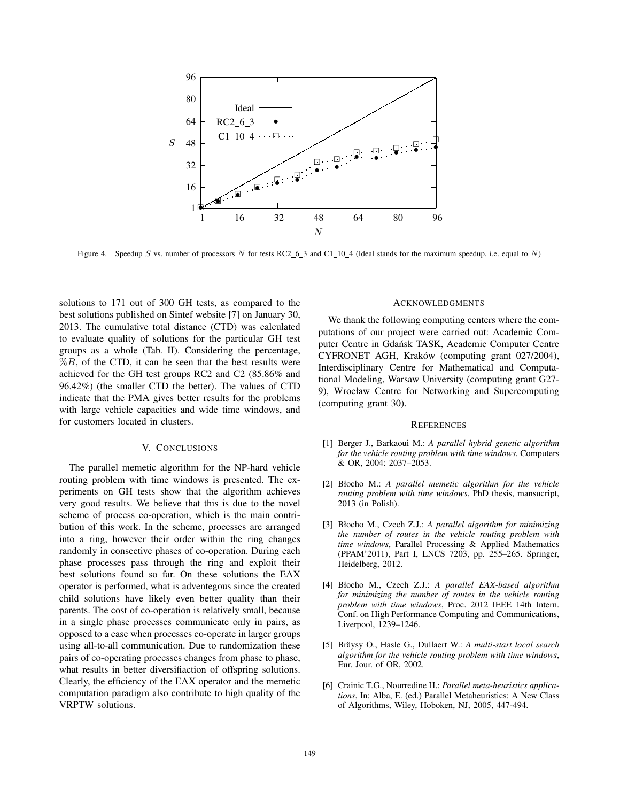

Figure 4. Speedup S vs. number of processors N for tests RC2\_6\_3 and C1\_10\_4 (Ideal stands for the maximum speedup, i.e. equal to N)

solutions to 171 out of 300 GH tests, as compared to the best solutions published on Sintef website [7] on January 30, 2013. The cumulative total distance (CTD) was calculated to evaluate quality of solutions for the particular GH test groups as a whole (Tab. II). Considering the percentage,  $\%B$ , of the CTD, it can be seen that the best results were achieved for the GH test groups RC2 and C2 (85.86% and 96.42%) (the smaller CTD the better). The values of CTD indicate that the PMA gives better results for the problems with large vehicle capacities and wide time windows, and for customers located in clusters.

### V. CONCLUSIONS

The parallel memetic algorithm for the NP-hard vehicle routing problem with time windows is presented. The experiments on GH tests show that the algorithm achieves very good results. We believe that this is due to the novel scheme of process co-operation, which is the main contribution of this work. In the scheme, processes are arranged into a ring, however their order within the ring changes randomly in consective phases of co-operation. During each phase processes pass through the ring and exploit their best solutions found so far. On these solutions the EAX operator is performed, what is adventegous since the created child solutions have likely even better quality than their parents. The cost of co-operation is relatively small, because in a single phase processes communicate only in pairs, as opposed to a case when processes co-operate in larger groups using all-to-all communication. Due to randomization these pairs of co-operating processes changes from phase to phase, what results in better diversifiaction of offspring solutions. Clearly, the efficiency of the EAX operator and the memetic computation paradigm also contribute to high quality of the VRPTW solutions.

#### ACKNOWLEDGMENTS

We thank the following computing centers where the computations of our project were carried out: Academic Computer Centre in Gdańsk TASK, Academic Computer Centre CYFRONET AGH, Kraków (computing grant 027/2004), Interdisciplinary Centre for Mathematical and Computational Modeling, Warsaw University (computing grant G27- 9), Wrocław Centre for Networking and Supercomputing (computing grant 30).

#### **REFERENCES**

- [1] Berger J., Barkaoui M.: *A parallel hybrid genetic algorithm for the vehicle routing problem with time windows.* Computers & OR, 2004: 2037–2053.
- [2] Błocho M.: *A parallel memetic algorithm for the vehicle routing problem with time windows*, PhD thesis, mansucript, 2013 (in Polish).
- [3] Błocho M., Czech Z.J.: *A parallel algorithm for minimizing the number of routes in the vehicle routing problem with time windows*, Parallel Processing & Applied Mathematics (PPAM'2011), Part I, LNCS 7203, pp. 255–265. Springer, Heidelberg, 2012.
- [4] Błocho M., Czech Z.J.: *A parallel EAX-based algorithm for minimizing the number of routes in the vehicle routing problem with time windows*, Proc. 2012 IEEE 14th Intern. Conf. on High Performance Computing and Communications, Liverpool, 1239–1246.
- [5] Bräysy O., Hasle G., Dullaert W.: A multi-start local search *algorithm for the vehicle routing problem with time windows*, Eur. Jour. of OR, 2002.
- [6] Crainic T.G., Nourredine H.: *Parallel meta-heuristics applications*, In: Alba, E. (ed.) Parallel Metaheuristics: A New Class of Algorithms, Wiley, Hoboken, NJ, 2005, 447-494.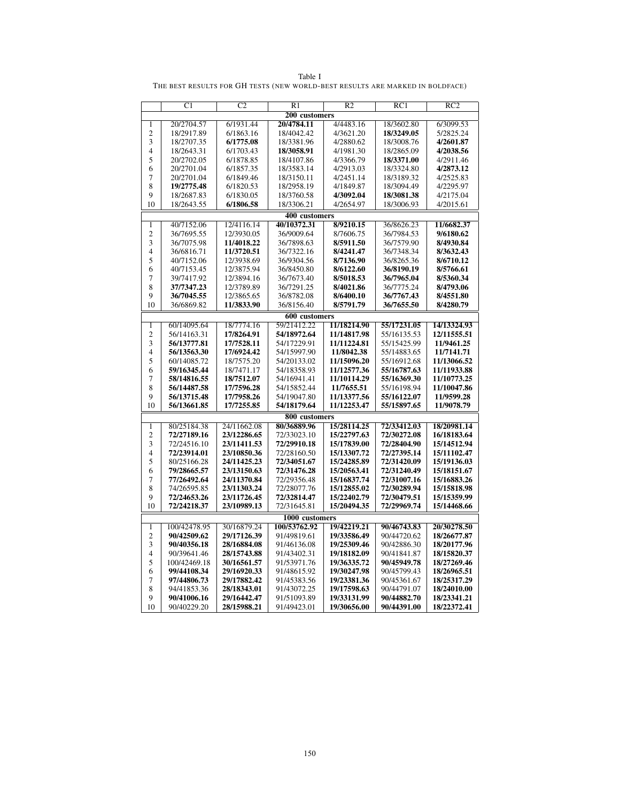| Table I                                                                       |  |
|-------------------------------------------------------------------------------|--|
| THE BEST RESULTS FOR GH TESTS (NEW WORLD-BEST RESULTS ARE MARKED IN BOLDFACE) |  |

|                         | C <sub>1</sub>             | C <sub>2</sub> | R <sub>1</sub> | R <sub>2</sub>             | RC1                        | RC2                        |  |  |  |  |
|-------------------------|----------------------------|----------------|----------------|----------------------------|----------------------------|----------------------------|--|--|--|--|
| 200 customers           |                            |                |                |                            |                            |                            |  |  |  |  |
| $\mathbf{1}$            | 20/2704.57                 | 6/1931.44      | 20/4784.11     | 4/4483.16                  | 18/3602.80                 | 6/3099.53                  |  |  |  |  |
| $\overline{c}$          | 18/2917.89                 | 6/1863.16      | 18/4042.42     | 4/3621.20                  | 18/3249.05                 | 5/2825.24                  |  |  |  |  |
| 3                       | 18/2707.35                 | 6/1775.08      | 18/3381.96     | 4/2880.62                  | 18/3008.76                 | 4/2601.87                  |  |  |  |  |
| $\overline{4}$          | 18/2643.31                 | 6/1703.43      | 18/3058.91     | 4/1981.30                  | 18/2865.09                 | 4/2038.56                  |  |  |  |  |
| 5                       | 20/2702.05                 | 6/1878.85      | 18/4107.86     | 4/3366.79                  | 18/3371.00                 | 4/2911.46                  |  |  |  |  |
| 6                       | 20/2701.04                 | 6/1857.35      | 18/3583.14     | 4/2913.03                  | 18/3324.80                 | 4/2873.12                  |  |  |  |  |
| 7                       | 20/2701.04                 | 6/1849.46      | 18/3150.11     | 4/2451.14                  | 18/3189.32                 | 4/2525.83                  |  |  |  |  |
| 8                       | 19/2775.48                 | 6/1820.53      | 18/2958.19     | 4/1849.87                  | 18/3094.49                 | 4/2295.97                  |  |  |  |  |
| 9                       | 18/2687.83                 | 6/1830.05      | 18/3760.58     | 4/3092.04                  | 18/3081.38                 | 4/2175.04                  |  |  |  |  |
| 10                      | 18/2643.55                 | 6/1806.58      | 18/3306.21     | 4/2654.97                  | 18/3006.93                 | 4/2015.61                  |  |  |  |  |
|                         |                            |                | 400 customers  |                            |                            |                            |  |  |  |  |
| 1                       | 40/7152.06                 | 12/4116.14     | 40/10372.31    | 8/9210.15                  | 36/8626.23                 | 11/6682.37                 |  |  |  |  |
| $\overline{\mathbf{c}}$ | 36/7695.55                 | 12/3930.05     | 36/9009.64     | 8/7606.75                  | 36/7984.53                 | 9/6180.62                  |  |  |  |  |
| 3                       | 36/7075.98                 | 11/4018.22     | 36/7898.63     | 8/5911.50                  | 36/7579.90                 | 8/4930.84                  |  |  |  |  |
| $\overline{4}$          | 36/6816.71                 | 11/3720.51     | 36/7322.16     | 8/4241.47                  | 36/7348.34                 | 8/3632.43                  |  |  |  |  |
| 5                       | 40/7152.06                 | 12/3938.69     | 36/9304.56     | 8/7136.90                  | 36/8265.36                 | 8/6710.12                  |  |  |  |  |
| 6                       | 40/7153.45                 | 12/3875.94     | 36/8450.80     | 8/6122.60                  | 36/8190.19                 | 8/5766.61                  |  |  |  |  |
| 7                       | 39/7417.92                 | 12/3894.16     | 36/7673.40     | 8/5018.53                  | 36/7965.04                 | 8/5360.34                  |  |  |  |  |
| 8                       | 37/7347.23                 | 12/3789.89     | 36/7291.25     | 8/4021.86                  | 36/7775.24                 | 8/4793.06                  |  |  |  |  |
| 9                       | 36/7045.55                 | 12/3865.65     | 36/8782.08     | 8/6400.10                  | 36/7767.43                 | 8/4551.80                  |  |  |  |  |
| 10                      | 36/6869.82                 | 11/3833.90     | 36/8156.40     | 8/5791.79                  | 36/7655.50                 | 8/4280.79                  |  |  |  |  |
|                         |                            |                |                |                            |                            |                            |  |  |  |  |
|                         |                            |                | 600 customers  |                            |                            |                            |  |  |  |  |
| 1                       | 60/14095.64                | 18/7774.16     | 59/21412.22    | 11/18214.90                | 55/17231.05                | 14/13324.93                |  |  |  |  |
| $\overline{c}$          | 56/14163.31                | 17/8264.91     | 54/18972.64    | 11/14817.98                | 55/16135.53                | 12/11555.51                |  |  |  |  |
| 3                       | 56/13777.81                | 17/7528.11     | 54/17229.91    | 11/11224.81                | 55/15425.99                | 11/9461.25                 |  |  |  |  |
| $\overline{4}$          | 56/13563.30                | 17/6924.42     | 54/15997.90    | 11/8042.38                 | 55/14883.65                | 11/7141.71                 |  |  |  |  |
| 5                       | 60/14085.72                | 18/7575.20     | 54/20133.02    | 11/15096.20                | 55/16912.68                | 11/13066.52                |  |  |  |  |
| 6                       | 59/16345.44                | 18/7471.17     | 54/18358.93    | 11/12577.36                | 55/16787.63                | 11/11933.88                |  |  |  |  |
| $\overline{7}$          | 58/14816.55                | 18/7512.07     | 54/16941.41    | 11/10114.29                | 55/16369.30                | 11/10773.25                |  |  |  |  |
| 8                       | 56/14487.58                | 17/7596.28     | 54/15852.44    | 11/7655.51                 | 55/16198.94                | 11/10047.86                |  |  |  |  |
| 9                       | 56/13715.48                | 17/7958.26     | 54/19047.80    | 11/13377.56                | 55/16122.07                | 11/9599.28                 |  |  |  |  |
| 10                      | 56/13661.85                | 17/7255.85     | 54/18179.64    | 11/12253.47                | 55/15897.65                | 11/9078.79                 |  |  |  |  |
|                         |                            |                | 800 customers  |                            |                            |                            |  |  |  |  |
| 1                       | 80/25184.38                | 24/11662.08    | 80/36889.96    | 15/28114.25                | 72/33412.03                | 18/20981.14                |  |  |  |  |
| $\overline{2}$          | 72/27189.16                | 23/12286.65    | 72/33023.10    | 15/22797.63                | 72/30272.08                | 16/18183.64                |  |  |  |  |
| 3                       | 72/24516.10                | 23/11411.53    | 72/29910.18    | 15/17839.00                | 72/28404.90                | 15/14512.94                |  |  |  |  |
| 4                       | 72/23914.01                | 23/10850.36    | 72/28160.50    | 15/13307.72                | 72/27395.14                | 15/11102.47                |  |  |  |  |
| 5                       | 80/25166.28                | 24/11425.23    | 72/34051.67    | 15/24285.89                | 72/31420.09                | 15/19136.03                |  |  |  |  |
| 6                       | 79/28665.57                | 23/13150.63    | 72/31476.28    | 15/20563.41                | 72/31240.49                | 15/18151.67                |  |  |  |  |
| 7                       | 77/26492.64                | 24/11370.84    | 72/29356.48    | 15/16837.74                | 72/31007.16                | 15/16883.26                |  |  |  |  |
| 8                       | 74/26595.85                | 23/11303.24    | 72/28077.76    | 15/12855.02                | 72/30289.94                | 15/15818.98                |  |  |  |  |
| 9                       | 72/24653.26<br>72/24218.37 | 23/11726.45    | 72/32814.47    | 15/22402.79<br>15/20494.35 | 72/30479.51<br>72/29969.74 | 15/15359.99<br>15/14468.66 |  |  |  |  |
| 10                      |                            | 23/10989.13    | 72/31645.81    |                            |                            |                            |  |  |  |  |
|                         | 1000 customers             |                |                |                            |                            |                            |  |  |  |  |
| 1                       | 100/42478.95               | 30/16879.24    | 100/53762.92   | 19/42219.21                | 90/46743.83                | 20/30278.50                |  |  |  |  |
| $\overline{c}$          | 90/42509.62                | 29/17126.39    | 91/49819.61    | 19/33586.49                | 90/44720.62                | 18/26677.87                |  |  |  |  |
| 3                       | 90/40356.18                | 28/16884.08    | 91/46136.08    | 19/25309.46                | 90/42886.30                | 18/20177.96                |  |  |  |  |
| $\overline{4}$          | 90/39641.46                | 28/15743.88    | 91/43402.31    | 19/18182.09                | 90/41841.87                | 18/15820.37                |  |  |  |  |
| 5                       | 100/42469.18               | 30/16561.57    | 91/53971.76    | 19/36335.72                | 90/45949.78                | 18/27269.46                |  |  |  |  |
| 6                       | 99/44108.34                | 29/16920.33    | 91/48615.92    | 19/30247.98                | 90/45799.43                | 18/26965.51                |  |  |  |  |
| 7                       | 97/44806.73                | 29/17882.42    | 91/45383.56    | 19/23381.36                | 90/45361.67                | 18/25317.29                |  |  |  |  |
| 8                       | 94/41853.36                | 28/18343.01    | 91/43072.25    | 19/17598.63                | 90/44791.07                | 18/24010.00                |  |  |  |  |
| 9<br>10                 | 90/41006.16                | 29/16442.47    | 91/51093.89    | 19/33131.99                | 90/44882.70                | 18/23341.21<br>18/22372.41 |  |  |  |  |
|                         | 90/40229.20                | 28/15988.21    | 91/49423.01    | 19/30656.00                | 90/44391.00                |                            |  |  |  |  |